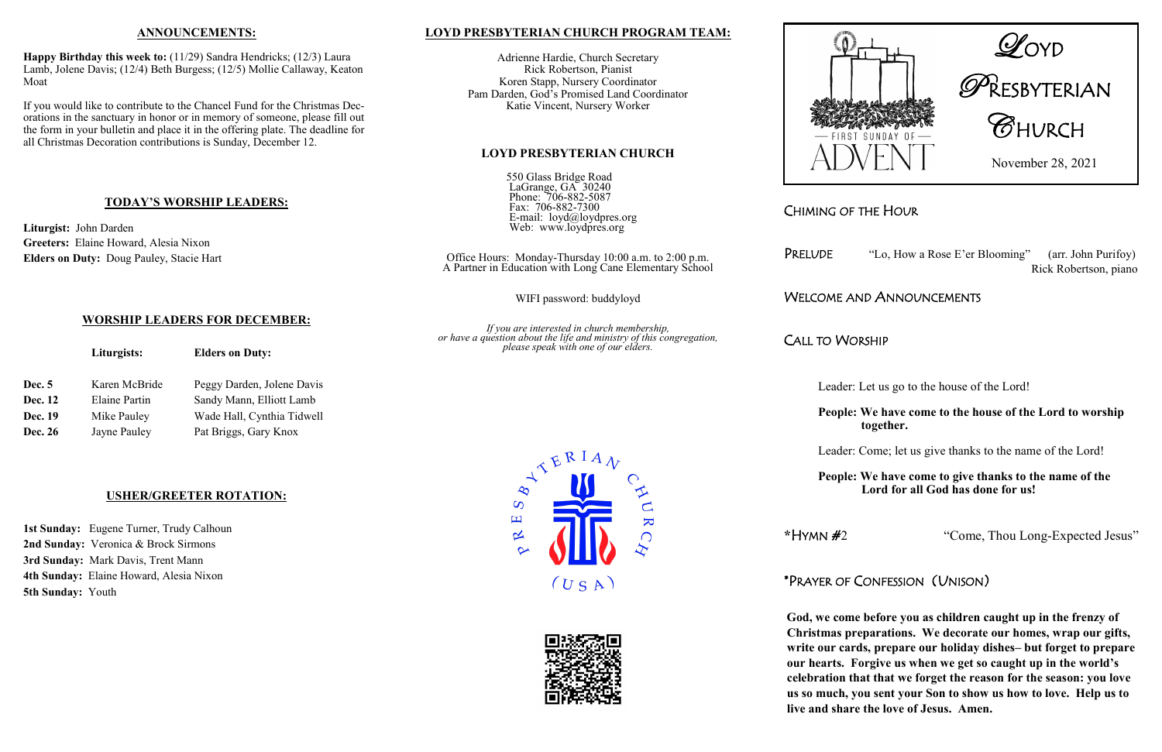# CHIMING OF THE HOUR

PRELUDE "Lo, How a Rose E'er Blooming" (arr. John Purifoy) Rick Robertson, piano

## WELCOME AND ANNOUNCEMENTS

CALL TO WORSHIP

- Leader: Let us go to the house of the Lord!
- **People: We have come to the house of the Lord to worship together.**
- Leader: Come; let us give thanks to the name of the Lord!
- **People: We have come to give thanks to the name of the Lord for all God has done for us!**

**\***HYMN #2 "Come, Thou Long-Expected Jesus"

## \*PRAYER OF CONFESSION (UNISON)

**God, we come before you as children caught up in the frenzy of Christmas preparations. We decorate our homes, wrap our gifts, write our cards, prepare our holiday dishes– but forget to prepare our hearts. Forgive us when we get so caught up in the world's celebration that that we forget the reason for the season: you love us so much, you sent your Son to show us how to love. Help us to live and share the love of Jesus. Amen.**



#### **ANNOUNCEMENTS:**

**Happy Birthday this week to:** (11/29) Sandra Hendricks; (12/3) Laura Lamb, Jolene Davis; (12/4) Beth Burgess; (12/5) Mollie Callaway, Keaton Moat

If you would like to contribute to the Chancel Fund for the Christmas Decorations in the sanctuary in honor or in memory of someone, please fill out the form in your bulletin and place it in the offering plate. The deadline for all Christmas Decoration contributions is Sunday, December 12.

### **TODAY'S WORSHIP LEADERS:**

**Liturgist:** John Darden **Greeters:** Elaine Howard, Alesia Nixon **Elders on Duty:** Doug Pauley, Stacie Hart

# **WORSHIP LEADERS FOR DECEMBER:**

|                | Liturgists:          | <b>Elders on Duty:</b>     |  |
|----------------|----------------------|----------------------------|--|
| <b>Dec. 5</b>  | Karen McBride        | Peggy Darden, Jolene Davis |  |
| <b>Dec. 12</b> | <b>Elaine Partin</b> | Sandy Mann, Elliott Lamb   |  |
| Dec. 19        | Mike Pauley          | Wade Hall, Cynthia Tidwell |  |
| <b>Dec. 26</b> | Jayne Pauley         | Pat Briggs, Gary Knox      |  |

### **USHER/GREETER ROTATION:**

**1st Sunday:** Eugene Turner, Trudy Calhoun **2nd Sunday:** Veronica & Brock Sirmons **3rd Sunday:** Mark Davis, Trent Mann **4th Sunday:** Elaine Howard, Alesia Nixon **5th Sunday:** Youth



 $\overline{\mathbf{K}}$ 



## **LOYD PRESBYTERIAN CHURCH PROGRAM TEAM:**

Adrienne Hardie, Church Secretary Rick Robertson, Pianist Koren Stapp, Nursery Coordinator Pam Darden, God's Promised Land Coordinator Katie Vincent, Nursery Worker

#### **LOYD PRESBYTERIAN CHURCH**

550 Glass Bridge Road LaGrange, GA<sup> $30240$ </sup> Phone: 706-882-5087 Fax: 706-882-7300 E-mail: loyd@loydpres.org Web: www.loydpres.org

> Office Hours: Monday-Thursday 10:00 a.m. to 2:00 p.m. A Partner in Education with Long Cane Elementary School

> > WIFI password: buddyloyd

*If you are interested in church membership, or have a question about the life and ministry of this congregation, please speak with one of our elders.*